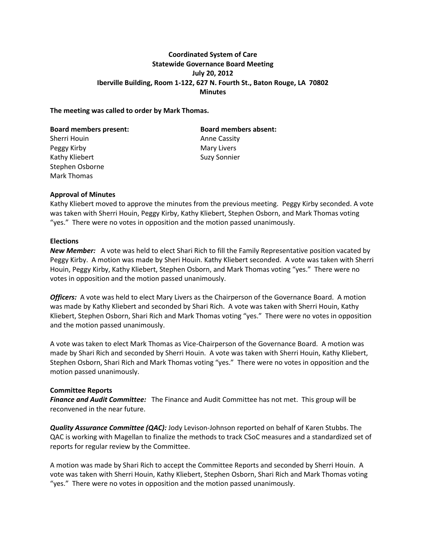## **Coordinated System of Care Statewide Governance Board Meeting July 20, 2012 Iberville Building, Room 1-122, 627 N. Fourth St., Baton Rouge, LA 70802 Minutes**

#### **The meeting was called to order by Mark Thomas.**

Sherri Houin **Anne Cassity** Peggy Kirby **Mary Livers Mary Livers** Kathy Kliebert Suzy Sonnier Stephen Osborne Mark Thomas

**Board members present: Board members absent:**

### **Approval of Minutes**

Kathy Kliebert moved to approve the minutes from the previous meeting. Peggy Kirby seconded. A vote was taken with Sherri Houin, Peggy Kirby, Kathy Kliebert, Stephen Osborn, and Mark Thomas voting "yes." There were no votes in opposition and the motion passed unanimously.

#### **Elections**

*New Member:* A vote was held to elect Shari Rich to fill the Family Representative position vacated by Peggy Kirby. A motion was made by Sheri Houin. Kathy Kliebert seconded. A vote was taken with Sherri Houin, Peggy Kirby, Kathy Kliebert, Stephen Osborn, and Mark Thomas voting "yes." There were no votes in opposition and the motion passed unanimously.

*Officers:* A vote was held to elect Mary Livers as the Chairperson of the Governance Board. A motion was made by Kathy Kliebert and seconded by Shari Rich. A vote was taken with Sherri Houin, Kathy Kliebert, Stephen Osborn, Shari Rich and Mark Thomas voting "yes." There were no votes in opposition and the motion passed unanimously.

A vote was taken to elect Mark Thomas as Vice-Chairperson of the Governance Board. A motion was made by Shari Rich and seconded by Sherri Houin. A vote was taken with Sherri Houin, Kathy Kliebert, Stephen Osborn, Shari Rich and Mark Thomas voting "yes." There were no votes in opposition and the motion passed unanimously.

#### **Committee Reports**

*Finance and Audit Committee:* The Finance and Audit Committee has not met. This group will be reconvened in the near future.

*Quality Assurance Committee (QAC):* Jody Levison-Johnson reported on behalf of Karen Stubbs. The QAC is working with Magellan to finalize the methods to track CSoC measures and a standardized set of reports for regular review by the Committee.

A motion was made by Shari Rich to accept the Committee Reports and seconded by Sherri Houin. A vote was taken with Sherri Houin, Kathy Kliebert, Stephen Osborn, Shari Rich and Mark Thomas voting "yes." There were no votes in opposition and the motion passed unanimously.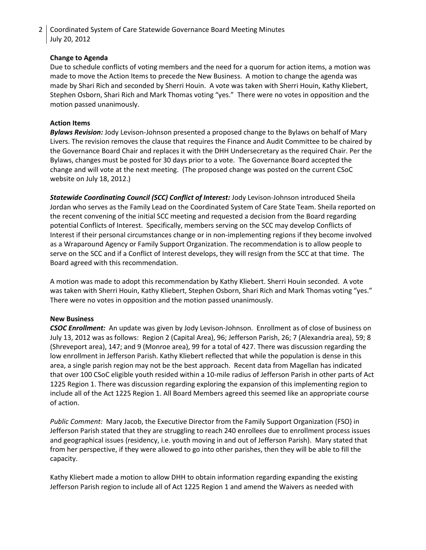2 | Coordinated System of Care Statewide Governance Board Meeting Minutes July 20, 2012

## **Change to Agenda**

Due to schedule conflicts of voting members and the need for a quorum for action items, a motion was made to move the Action Items to precede the New Business. A motion to change the agenda was made by Shari Rich and seconded by Sherri Houin. A vote was taken with Sherri Houin, Kathy Kliebert, Stephen Osborn, Shari Rich and Mark Thomas voting "yes." There were no votes in opposition and the motion passed unanimously.

## **Action Items**

*Bylaws Revision:* Jody Levison-Johnson presented a proposed change to the Bylaws on behalf of Mary Livers. The revision removes the clause that requires the Finance and Audit Committee to be chaired by the Governance Board Chair and replaces it with the DHH Undersecretary as the required Chair. Per the Bylaws, changes must be posted for 30 days prior to a vote. The Governance Board accepted the change and will vote at the next meeting. (The proposed change was posted on the current CSoC website on July 18, 2012.)

*Statewide Coordinating Council (SCC) Conflict of Interest:* Jody Levison-Johnson introduced Sheila Jordan who serves as the Family Lead on the Coordinated System of Care State Team. Sheila reported on the recent convening of the initial SCC meeting and requested a decision from the Board regarding potential Conflicts of Interest. Specifically, members serving on the SCC may develop Conflicts of Interest if their personal circumstances change or in non-implementing regions if they become involved as a Wraparound Agency or Family Support Organization. The recommendation is to allow people to serve on the SCC and if a Conflict of Interest develops, they will resign from the SCC at that time. The Board agreed with this recommendation.

A motion was made to adopt this recommendation by Kathy Kliebert. Sherri Houin seconded. A vote was taken with Sherri Houin, Kathy Kliebert, Stephen Osborn, Shari Rich and Mark Thomas voting "yes." There were no votes in opposition and the motion passed unanimously.

### **New Business**

*CSOC Enrollment:* An update was given by Jody Levison-Johnson. Enrollment as of close of business on July 13, 2012 was as follows: Region 2 (Capital Area), 96; Jefferson Parish, 26; 7 (Alexandria area), 59; 8 (Shreveport area), 147; and 9 (Monroe area), 99 for a total of 427. There was discussion regarding the low enrollment in Jefferson Parish. Kathy Kliebert reflected that while the population is dense in this area, a single parish region may not be the best approach. Recent data from Magellan has indicated that over 100 CSoC eligible youth resided within a 10-mile radius of Jefferson Parish in other parts of Act 1225 Region 1. There was discussion regarding exploring the expansion of this implementing region to include all of the Act 1225 Region 1. All Board Members agreed this seemed like an appropriate course of action.

*Public Comment:* Mary Jacob, the Executive Director from the Family Support Organization (FSO) in Jefferson Parish stated that they are struggling to reach 240 enrollees due to enrollment process issues and geographical issues (residency, i.e. youth moving in and out of Jefferson Parish). Mary stated that from her perspective, if they were allowed to go into other parishes, then they will be able to fill the capacity.

Kathy Kliebert made a motion to allow DHH to obtain information regarding expanding the existing Jefferson Parish region to include all of Act 1225 Region 1 and amend the Waivers as needed with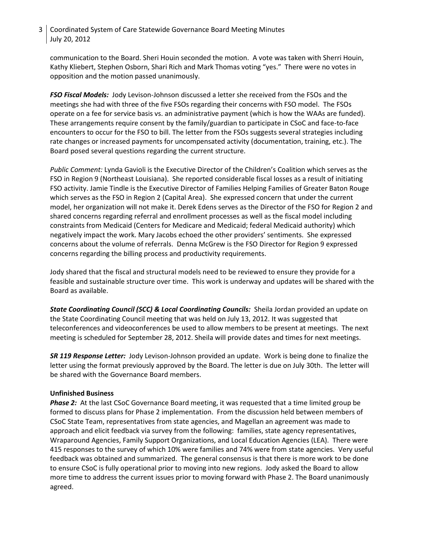# 3 Coordinated System of Care Statewide Governance Board Meeting Minutes July 20, 2012

communication to the Board. Sheri Houin seconded the motion. A vote was taken with Sherri Houin, Kathy Kliebert, Stephen Osborn, Shari Rich and Mark Thomas voting "yes." There were no votes in opposition and the motion passed unanimously.

*FSO Fiscal Models:* Jody Levison-Johnson discussed a letter she received from the FSOs and the meetings she had with three of the five FSOs regarding their concerns with FSO model. The FSOs operate on a fee for service basis vs. an administrative payment (which is how the WAAs are funded). These arrangements require consent by the family/guardian to participate in CSoC and face-to-face encounters to occur for the FSO to bill. The letter from the FSOs suggests several strategies including rate changes or increased payments for uncompensated activity (documentation, training, etc.). The Board posed several questions regarding the current structure.

*Public Comment:* Lynda Gavioli is the Executive Director of the Children's Coalition which serves as the FSO in Region 9 (Northeast Louisiana). She reported considerable fiscal losses as a result of initiating FSO activity. Jamie Tindle is the Executive Director of Families Helping Families of Greater Baton Rouge which serves as the FSO in Region 2 (Capital Area). She expressed concern that under the current model, her organization will not make it. Derek Edens serves as the Director of the FSO for Region 2 and shared concerns regarding referral and enrollment processes as well as the fiscal model including constraints from Medicaid (Centers for Medicare and Medicaid; federal Medicaid authority) which negatively impact the work. Mary Jacobs echoed the other providers' sentiments. She expressed concerns about the volume of referrals. Denna McGrew is the FSO Director for Region 9 expressed concerns regarding the billing process and productivity requirements.

Jody shared that the fiscal and structural models need to be reviewed to ensure they provide for a feasible and sustainable structure over time. This work is underway and updates will be shared with the Board as available.

*State Coordinating Council (SCC) & Local Coordinating Councils:* Sheila Jordan provided an update on the State Coordinating Council meeting that was held on July 13, 2012. It was suggested that teleconferences and videoconferences be used to allow members to be present at meetings. The next meeting is scheduled for September 28, 2012. Sheila will provide dates and times for next meetings.

*SR 119 Response Letter:* Jody Levison-Johnson provided an update. Work is being done to finalize the letter using the format previously approved by the Board. The letter is due on July 30th. The letter will be shared with the Governance Board members.

### **Unfinished Business**

**Phase 2:** At the last CSoC Governance Board meeting, it was requested that a time limited group be formed to discuss plans for Phase 2 implementation. From the discussion held between members of CSoC State Team, representatives from state agencies, and Magellan an agreement was made to approach and elicit feedback via survey from the following: families, state agency representatives, Wraparound Agencies, Family Support Organizations, and Local Education Agencies (LEA). There were 415 responses to the survey of which 10% were families and 74% were from state agencies. Very useful feedback was obtained and summarized. The general consensus is that there is more work to be done to ensure CSoC is fully operational prior to moving into new regions. Jody asked the Board to allow more time to address the current issues prior to moving forward with Phase 2. The Board unanimously agreed.